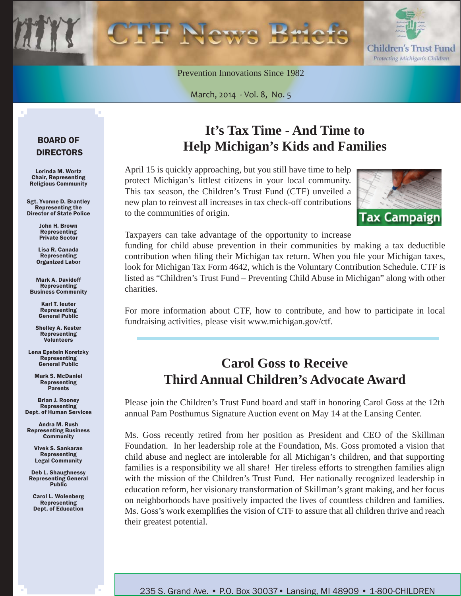

Prevention Innovations Since 1982

March, 2014 - Vol. 8, No. 5

#### BOARD OF DIRECTORS

Lorinda M. Wortz Chair, Representing Religious Community

Sgt. Yvonne D. Brantley Representing the Director of State Police

> John H. Brown Representing Private Sector

Lisa R. Canada Representing Organized Labor

Mark A. Davidoff Representing Business Community

> Karl T. Ieuter Representing General Public

Shelley A. Kester Representing Volunteers

Lena Epstein Koretzky **Representing** General Public

Mark S. McDaniel Representing Parents

Brian J. Rooney Representing Dept. of Human Services

Andra M. Rush Representing Business **Community** 

> Vivek S. Sankaran Representing Legal Community

Deb L. Shaughnessy Representing General Public

Carol L. Wolenberg Representing Dept. of Education

## **It's Tax Time - And Time to Help Michigan's Kids and Families**

April 15 is quickly approaching, but you still have time to help protect Michigan's littlest citizens in your local community. This tax season, the Children's Trust Fund (CTF) unveiled a new plan to reinvest all increases in tax check-off contributions to the communities of origin.



Taxpayers can take advantage of the opportunity to increase

funding for child abuse prevention in their communities by making a tax deductible contribution when filing their Michigan tax return. When you file your Michigan taxes, look for Michigan Tax Form 4642, which is the Voluntary Contribution Schedule. CTF is listed as "Children's Trust Fund – Preventing Child Abuse in Michigan" along with other charities.

For more information about CTF, how to contribute, and how to participate in local fundraising activities, please visit www.michigan.gov/ctf.

### **Carol Goss to Receive Third Annual Children's Advocate Award**

Please join the Children's Trust Fund board and staff in honoring Carol Goss at the 12th annual Pam Posthumus Signature Auction event on May 14 at the Lansing Center.

Ms. Goss recently retired from her position as President and CEO of the Skillman Foundation. In her leadership role at the Foundation, Ms. Goss promoted a vision that child abuse and neglect are intolerable for all Michigan's children, and that supporting families is a responsibility we all share! Her tireless efforts to strengthen families align with the mission of the Children's Trust Fund. Her nationally recognized leadership in education reform, her visionary transformation of Skillman's grant making, and her focus on neighborhoods have positively impacted the lives of countless children and families. Ms. Goss's work exemplifies the vision of CTF to assure that all children thrive and reach their greatest potential.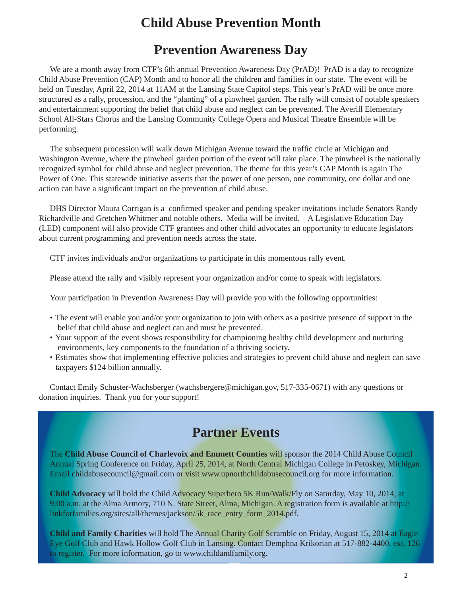### **Child Abuse Prevention Month**

#### **Prevention Awareness Day**

We are a month away from CTF's 6th annual Prevention Awareness Day (PrAD)! PrAD is a day to recognize Child Abuse Prevention (CAP) Month and to honor all the children and families in our state. The event will be held on Tuesday, April 22, 2014 at 11AM at the Lansing State Capitol steps. This year's PrAD will be once more structured as a rally, procession, and the "planting" of a pinwheel garden. The rally will consist of notable speakers and entertainment supporting the belief that child abuse and neglect can be prevented. The Averill Elementary School All-Stars Chorus and the Lansing Community College Opera and Musical Theatre Ensemble will be performing.

The subsequent procession will walk down Michigan Avenue toward the traffic circle at Michigan and Washington Avenue, where the pinwheel garden portion of the event will take place. The pinwheel is the nationally recognized symbol for child abuse and neglect prevention. The theme for this year's CAP Month is again The Power of One. This statewide initiative asserts that the power of one person, one community, one dollar and one action can have a significant impact on the prevention of child abuse.

DHS Director Maura Corrigan is a confirmed speaker and pending speaker invitations include Senators Randy Richardville and Gretchen Whitmer and notable others. Media will be invited. A Legislative Education Day (LED) component will also provide CTF grantees and other child advocates an opportunity to educate legislators about current programming and prevention needs across the state.

CTF invites individuals and/or organizations to participate in this momentous rally event.

Please attend the rally and visibly represent your organization and/or come to speak with legislators.

Your participation in Prevention Awareness Day will provide you with the following opportunities:

- The event will enable you and/or your organization to join with others as a positive presence of support in the belief that child abuse and neglect can and must be prevented.
- Your support of the event shows responsibility for championing healthy child development and nurturing environments, key components to the foundation of a thriving society.
- Estimates show that implementing effective policies and strategies to prevent child abuse and neglect can save taxpayers \$124 billion annually.

Contact Emily Schuster-Wachsberger (wachsbergere@michigan.gov, 517-335-0671) with any questions or donation inquiries. Thank you for your support!

#### **Partner Events**

The **Child Abuse Council of Charlevoix and Emmett Counties** will sponsor the 2014 Child Abuse Council Annual Spring Conference on Friday, April 25, 2014, at North Central Michigan College in Petoskey, Michigan. Email childabusecouncil@gmail.com or visit www.upnorthchildabusecouncil.org for more information.

**Child Advocacy** will hold the Child Advocacy Superhero 5K Run/Walk/Fly on Saturday, May 10, 2014, at 9:00 a.m. at the Alma Armory, 710 N. State Street, Alma, Michigan. A registration form is available at http:// linkforfamilies.org/sites/all/themes/jackson/5k\_race\_entry\_form\_2014.pdf.

**Child and Family Charities** will hold The Annual Charity Golf Scramble on Friday, August 15, 2014 at Eagle Eye Golf Club and Hawk Hollow Golf Club in Lansing. Contact Demphna Krikorian at 517-882-4400, ext. 126 to register. For more information, go to www.childandfamily.org.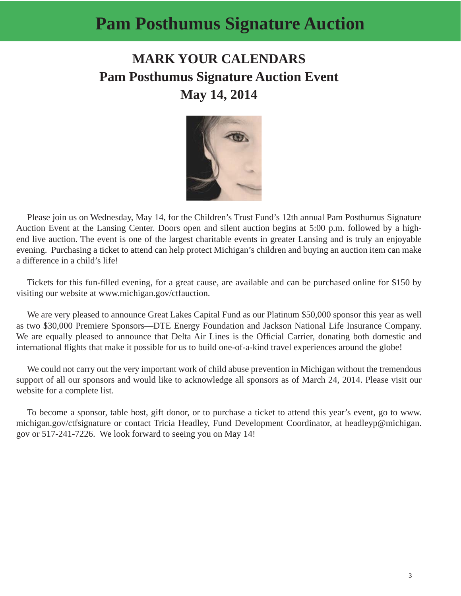# **Pam Posthumus Signature Auction**

# **MARK YOUR CALENDARS Pam Posthumus Signature Auction Event May 14, 2014**



Please join us on Wednesday, May 14, for the Children's Trust Fund's 12th annual Pam Posthumus Signature Auction Event at the Lansing Center. Doors open and silent auction begins at 5:00 p.m. followed by a highend live auction. The event is one of the largest charitable events in greater Lansing and is truly an enjoyable evening. Purchasing a ticket to attend can help protect Michigan's children and buying an auction item can make a difference in a child's life!

Tickets for this fun-filled evening, for a great cause, are available and can be purchased online for \$150 by visiting our website at www.michigan.gov/ctfauction.

We are very pleased to announce Great Lakes Capital Fund as our Platinum \$50,000 sponsor this year as well as two \$30,000 Premiere Sponsors—DTE Energy Foundation and Jackson National Life Insurance Company. We are equally pleased to announce that Delta Air Lines is the Official Carrier, donating both domestic and international flights that make it possible for us to build one-of-a-kind travel experiences around the globe!

We could not carry out the very important work of child abuse prevention in Michigan without the tremendous support of all our sponsors and would like to acknowledge all sponsors as of March 24, 2014. Please visit our website for a complete list.

To become a sponsor, table host, gift donor, or to purchase a ticket to attend this year's event, go to www. michigan.gov/ctfsignature or contact Tricia Headley, Fund Development Coordinator, at headleyp@michigan. gov or 517-241-7226. We look forward to seeing you on May 14!